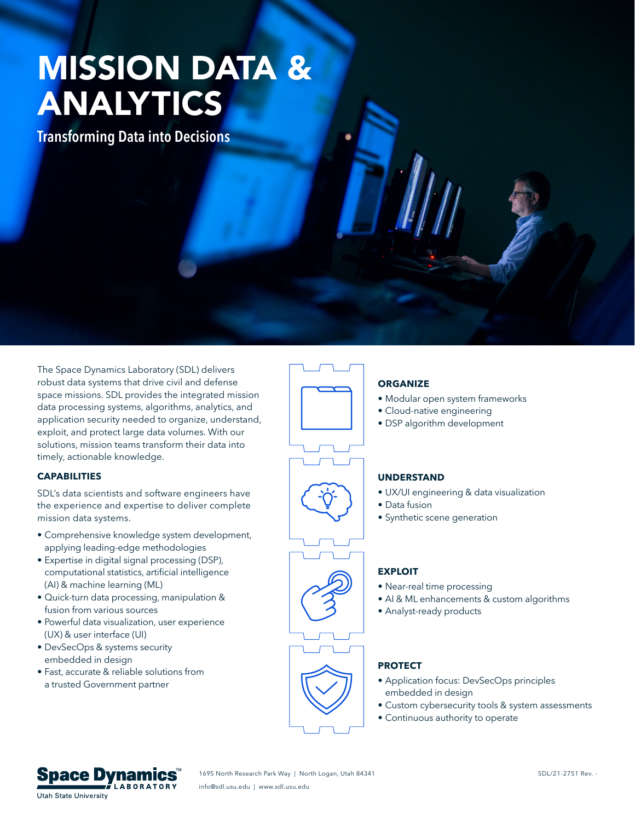# MISSION DATA & ANALYTICS

**Transforming Data into Decisions** 

The Space Dynamics Laboratory (SDL) delivers robust data systems that drive civil and defense space missions. SDL provides the integrated mission data processing systems, algorithms, analytics, and application security needed to organize, understand, exploit, and protect large data volumes. With our solutions, mission teams transform their data into timely, actionable knowledge.

#### **CAPABILITIES**

SDL's data scientists and software engineers have the experience and expertise to deliver complete mission data systems.

- Comprehensive knowledge system development, applying leading-edge methodologies
- Expertise in digital signal processing (DSP), computational statistics, artificial intelligence (AI) & machine learning (ML)
- Quick-turn data processing, manipulation & fusion from various sources
- Powerful data visualization, user experience (UX) & user interface (UI)
- DevSecOps & systems security embedded in design
- Fast, accurate & reliable solutions from a trusted Government partner





### **ORGANIZE**

- Modular open system frameworks
- Cloud-native engineering
- DSP algorithm development

#### **UNDERSTAND**

- UX/UI engineering & data visualization
- Data fusion
- Synthetic scene generation

#### **EXPLOIT**

- Near-real time processing
- AI & ML enhancements & custom algorithms
- Analyst-ready products

#### **PROTECT**

- Application focus: DevSecOps principles embedded in design
- Custom cybersecurity tools & system assessments
- Continuous authority to operate



1695 North Research Park Way | North Logan, Utah 84341 SDL/21-2751 Rev. - SDL/21-2751 Rev. info@sdl.usu.edu | www.sdl.usu.edu